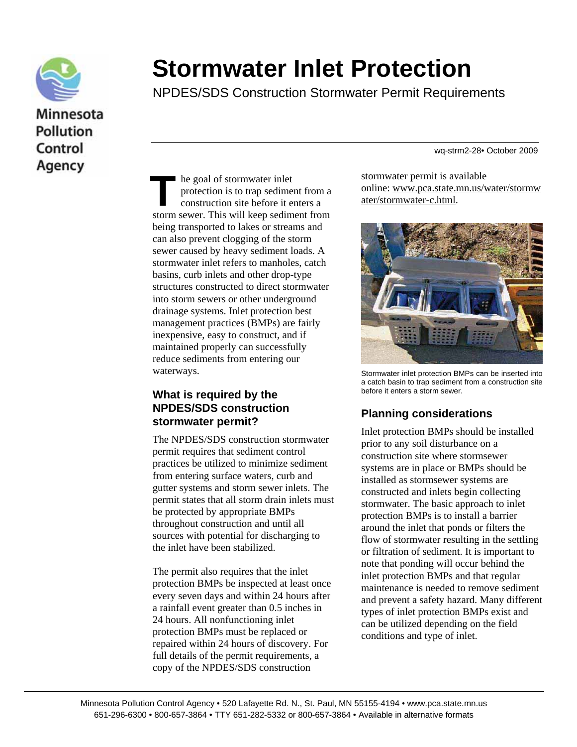

# **Stormwater Inlet Protection**

NPDES/SDS Construction Stormwater Permit Requirements

wq-strm2-28• October 2009

he goal of stormwater inlet protection is to trap sediment from a construction site before it enters a The goal of stormwater inlet<br>protection is to trap sediment from a<br>construction site before it enters a<br>storm sewer. This will keep sediment from being transported to lakes or streams and can also prevent clogging of the storm sewer caused by heavy sediment loads. A stormwater inlet refers to manholes, catch basins, curb inlets and other drop-type structures constructed to direct stormwater into storm sewers or other underground drainage systems. Inlet protection best management practices (BMPs) are fairly inexpensive, easy to construct, and if maintained properly can successfully reduce sediments from entering our waterways.

#### **What is required by the NPDES/SDS construction stormwater permit?**

The NPDES/SDS construction stormwater permit requires that sediment control practices be utilized to minimize sediment from entering surface waters, curb and gutter systems and storm sewer inlets. The permit states that all storm drain inlets must be protected by appropriate BMPs throughout construction and until all sources with potential for discharging to the inlet have been stabilized.

The permit also requires that the inlet protection BMPs be inspected at least once every seven days and within 24 hours after a rainfall event greater than 0.5 inches in 24 hours. All nonfunctioning inlet protection BMPs must be replaced or repaired within 24 hours of discovery. For full details of the permit requirements, a copy of the NPDES/SDS construction

stormwater permit is available online: [www.pca.state.mn.us/water/stormw](http://www.pca.state.mn.us/water/stormwater/stormwater-c.html) [ater/stormwater-c.](http://www.pca.state.mn.us/water/stormwater/stormwater-c.html)html.



Stormwater inlet protection BMPs can be inserted into a catch basin to trap sediment from a construction site before it enters a storm sewer.

## **Planning considerations**

Inlet protection BMPs should be installed prior to any soil disturbance on a construction site where stormsewer systems are in place or BMPs should be installed as stormsewer systems are constructed and inlets begin collecting stormwater. The basic approach to inlet protection BMPs is to install a barrier around the inlet that ponds or filters the flow of stormwater resulting in the settling or filtration of sediment. It is important to note that ponding will occur behind the inlet protection BMPs and that regular maintenance is needed to remove sediment and prevent a safety hazard. Many different types of inlet protection BMPs exist and can be utilized depending on the field conditions and type of inlet.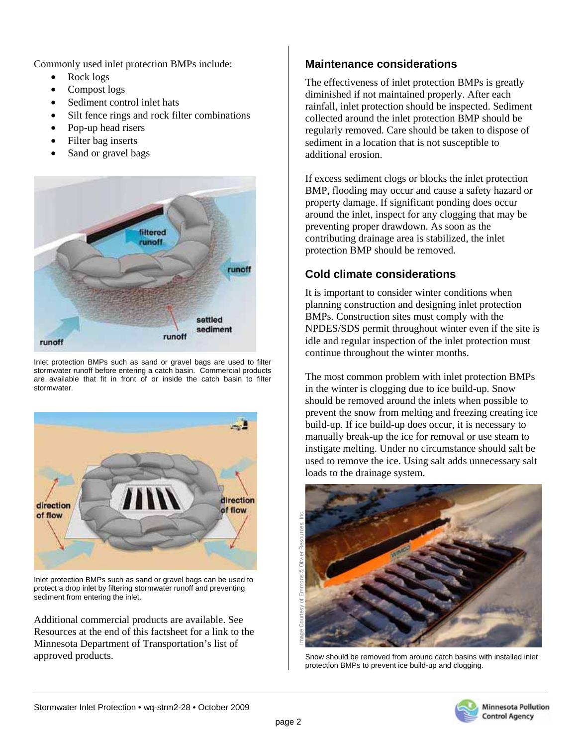Commonly used inlet protection BMPs include:

- Rock logs
- Compost logs
- Sediment control inlet hats
- Silt fence rings and rock filter combinations
- Pop-up head risers
- Filter bag inserts
- Sand or gravel bags



Inlet protection BMPs such as sand or gravel bags are used to filter stormwater runoff before entering a catch basin. Commercial products are available that fit in front of or inside the catch basin to filter stormwater.



Inlet protection BMPs such as sand or gravel bags can be used to protect a drop inlet by filtering stormwater runoff and preventing sediment from entering the inlet.

Additional commercial products are available. See Resources at the end of this factsheet for a link to the Minnesota Department of Transportation's list of approved products.

# **Maintenance considerations**

The effectiveness of inlet protection BMPs is greatly diminished if not maintained properly. After each rainfall, inlet protection should be inspected. Sediment collected around the inlet protection BMP should be regularly removed. Care should be taken to dispose of sediment in a location that is not susceptible to additional erosion.

If excess sediment clogs or blocks the inlet protection BMP, flooding may occur and cause a safety hazard or property damage. If significant ponding does occur around the inlet, inspect for any clogging that may be preventing proper drawdown. As soon as the contributing drainage area is stabilized, the inlet protection BMP should be removed.

### **Cold climate considerations**

It is important to consider winter conditions when planning construction and designing inlet protection BMPs. Construction sites must comply with the NPDES/SDS permit throughout winter even if the site is idle and regular inspection of the inlet protection must continue throughout the winter months.

The most common problem with inlet protection BMPs in the winter is clogging due to ice build-up. Snow should be removed around the inlets when possible to prevent the snow from melting and freezing creating ice build-up. If ice build-up does occur, it is necessary to manually break-up the ice for removal or use steam to instigate melting. Under no circumstance should salt be used to remove the ice. Using salt adds unnecessary salt loads to the drainage system.



Snow should be removed from around catch basins with installed inlet protection BMPs to prevent ice build-up and clogging.